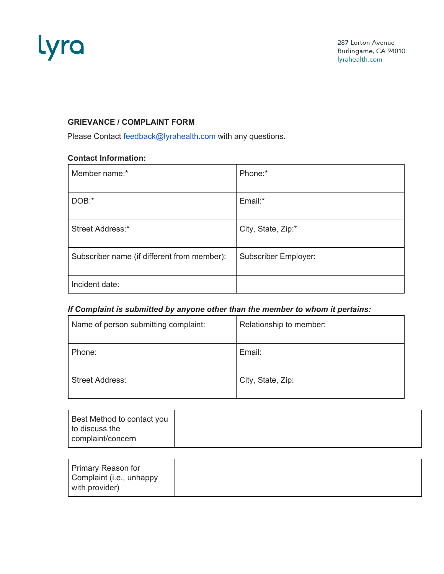

## **GRIEVANCE / COMPLAINT FORM**

Please Contact feedback@lyrahealth.com with any questions.

## **Contact Information:**

| Member name:*                               | Phone:*              |
|---------------------------------------------|----------------------|
| DOB:*                                       | Email:*              |
| Street Address:*                            | City, State, Zip:*   |
| Subscriber name (if different from member): | Subscriber Employer: |
| Incident date:                              |                      |

## *If Complaint is submitted by anyone other than the member to whom it pertains:*

| Name of person submitting complaint: | Relationship to member: |
|--------------------------------------|-------------------------|
| Phone:                               | Email:                  |
| <b>Street Address:</b>               | City, State, Zip:       |

| Best Method to contact you |  |
|----------------------------|--|
| to discuss the             |  |
| complaint/concern          |  |